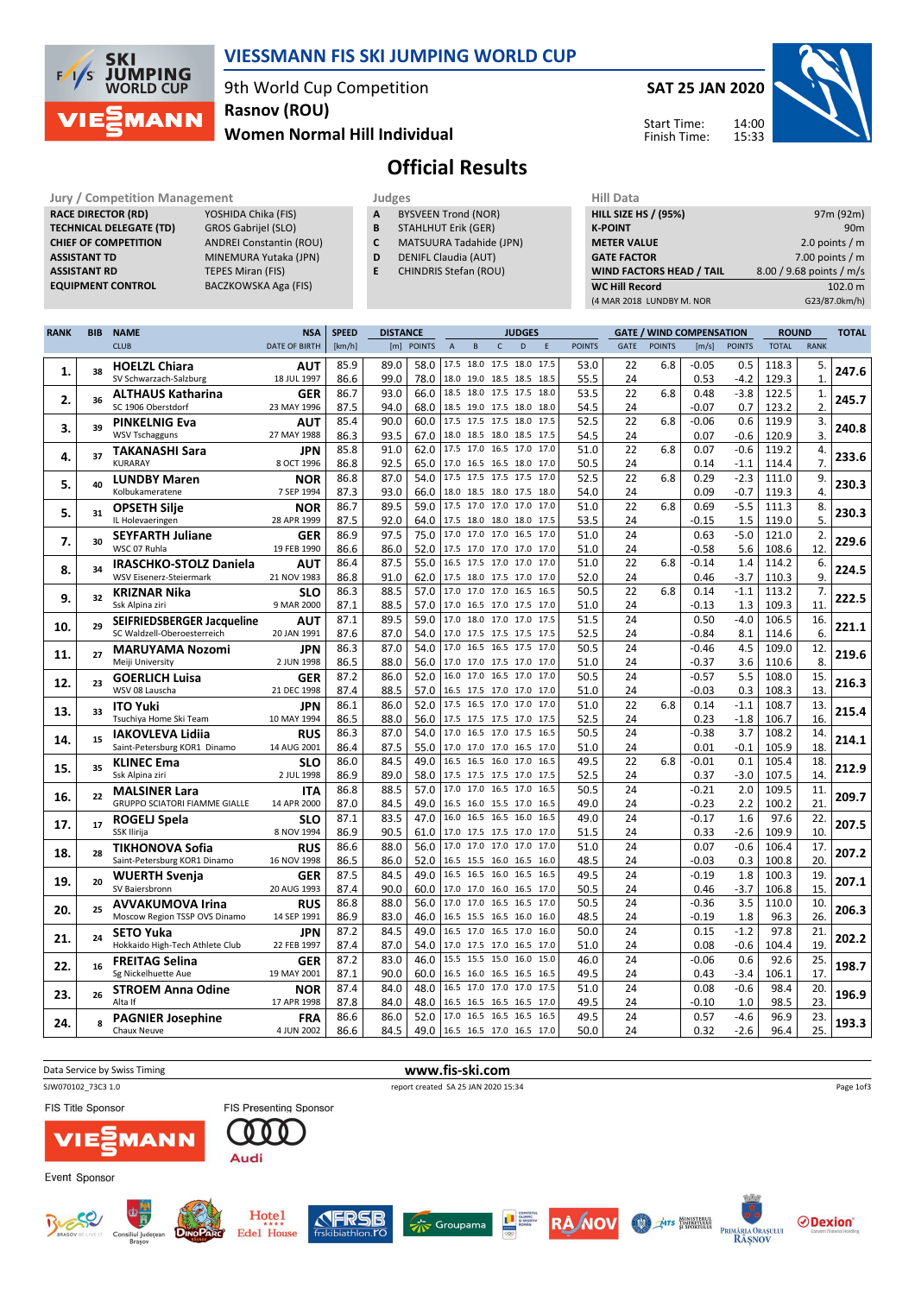

### VIESSMANN FIS SKI JUMPING WORLD CUP

9th World Cup Competition Women Normal Hill Individual Rasnov (ROU)

SAT 25 JAN 2020

14:00 15:33



Start Time: Finish Time:

# Official Results

RACE DIRECTOR (RD)

Jury / Competition Management<br> **RACE DIRECTOR (RD)** YOSHIDA Chika (FIS) **A** BYSVEEN Trond (NOR) **HILL SIZE HILL SIZE F** TECHNICAL DELEGATE (TD) GROS Gabrijel (SLO)<br>CHIEF OF COMPETITION ANDREI Constantin ( ANDREI Constantin (ROU) ASSISTANT TD MINEMURA Yutaka (JPN) **ASSISTANT RD** TEPES Miran (FIS)<br> **EQUIPMENT CONTROL** BACZKOWSKA Aga BACZKOWSKA Aga (FIS)

| __ |  | . . |  |  |  |  |  |  |
|----|--|-----|--|--|--|--|--|--|
|----|--|-----|--|--|--|--|--|--|

- A BYSVEEN Trond (NOR)
- **B** STAHLHUT Erik (GER)<br>**C** MATSUURA Tadahide MATSUURA Tadahide (JPN)
- D DENIFL Claudia (AUT)
- E CHINDRIS Stefan (ROU)
	-

| пш мага                         |                          |
|---------------------------------|--------------------------|
| <b>HILL SIZE HS / (95%)</b>     | 97m (92m)                |
| <b>K-POINT</b>                  | 90 <sub>m</sub>          |
| <b>METER VALUE</b>              | 2.0 points $/m$          |
| <b>GATE FACTOR</b>              | 7.00 points $/m$         |
| <b>WIND FACTORS HEAD / TAIL</b> | 8.00 / 9.68 points / m/s |
| <b>WC Hill Record</b>           | 102.0 m                  |
| (4 MAR 2018 LUNDBY M. NOR       | G23/87.0km/h)            |
|                                 |                          |

| <b>RANK</b> | <b>BIB</b> | <b>NAME</b>                                                  | <b>NSA</b>                | <b>SPEED</b> | <b>DISTANCE</b> |                               |                               |          |                          | <b>JUDGES</b> |      |               |          |               | <b>GATE / WIND COMPENSATION</b> |               |                | <b>ROUND</b>   |       |
|-------------|------------|--------------------------------------------------------------|---------------------------|--------------|-----------------|-------------------------------|-------------------------------|----------|--------------------------|---------------|------|---------------|----------|---------------|---------------------------------|---------------|----------------|----------------|-------|
|             |            | <b>CLUB</b>                                                  | <b>DATE OF BIRTH</b>      | [km/h]       |                 | [m] POINTS                    | $\mathsf A$                   | $\sf{B}$ | $\mathsf{C}$             | D             | E    | <b>POINTS</b> | GATE     | <b>POINTS</b> | [m/s]                           | <b>POINTS</b> | <b>TOTAL</b>   | <b>RANK</b>    |       |
|             |            | <b>HOELZL Chiara</b>                                         | <b>AUT</b>                | 85.9         | 89.0            | 58.0                          | 17.5 18.0 17.5 18.0           |          |                          |               | 17.5 | 53.0          | 22       | 6.8           | $-0.05$                         | 0.5           | 118.3          | 5.             |       |
| 1.          | 38         | SV Schwarzach-Salzburg                                       | 18 JUL 1997               | 86.6         | 99.0            | 78.0                          |                               |          | 18.0 19.0 18.5 18.5 18.5 |               |      | 55.5          | 24       |               | 0.53                            | $-4.2$        | 129.3          | $\mathbf{1}$   | 247.6 |
|             |            | <b>ALTHAUS Katharina</b>                                     | <b>GER</b>                | 86.7         | 93.0            | 66.0                          |                               |          | 18.5 18.0 17.5 17.5      |               | 18.0 | 53.5          | 22       | 6.8           | 0.48                            | $-3.8$        | 122.5          | 1.             |       |
| 2.          | 36         | SC 1906 Oberstdorf                                           | 23 MAY 1996               | 87.5         | 94.0            | 68.0                          |                               |          | 18.5 19.0 17.5 18.0 18.0 |               |      | 54.5          | 24       |               | $-0.07$                         | 0.7           | 123.2          | 2.             | 245.7 |
|             |            | <b>PINKELNIG Eva</b>                                         | <b>AUT</b>                | 85.4         | 90.0            | 60.0                          | 17.5 17.5 17.5 18.0           |          |                          |               | 17.5 | 52.5          | 22       | 6.8           | $-0.06$                         | 0.6           | 119.9          | 3.             |       |
| 3.          | 39         | <b>WSV Tschagguns</b>                                        | 27 MAY 1988               | 86.3         | 93.5            | 67.0                          | 18.0 18.5 18.0 18.5 17.5      |          |                          |               |      | 54.5          | 24       |               | 0.07                            | $-0.6$        | 120.9          | 3.             | 240.8 |
|             |            | <b>TAKANASHI Sara</b>                                        | <b>JPN</b>                | 85.8         | 91.0            | 62.0                          | 17.5 17.0 16.5 17.0 17.0      |          |                          |               |      | 51.0          | 22       | 6.8           | 0.07                            | $-0.6$        | 119.2          | 4.             |       |
| 4.          | 37         | <b>KURARAY</b>                                               | 8 OCT 1996                | 86.8         | 92.5            | 65.0                          |                               |          | 17.0 16.5 16.5 18.0 17.0 |               |      | 50.5          | 24       |               | 0.14                            | $-1.1$        | 114.4          | $\overline{7}$ | 233.6 |
|             | 40         | <b>LUNDBY Maren</b>                                          | <b>NOR</b>                | 86.8         | 87.0            | 54.0                          | 17.5 17.5 17.5 17.5 17.0      |          |                          |               |      | 52.5          | 22       | 6.8           | 0.29                            | $-2.3$        | 111.0          | 9.             |       |
| 5.          |            | Kolbukameratene                                              | 7 SEP 1994                | 87.3         | 93.0            | 66.0                          | 18.0 18.5 18.0 17.5 18.0      |          |                          |               |      | 54.0          | 24       |               | 0.09                            | $-0.7$        | 119.3          | 4.             | 230.3 |
| 5.          | 31         | <b>OPSETH Silje</b>                                          | <b>NOR</b>                | 86.7         | 89.5            | 59.0                          |                               |          | 17.5 17.0 17.0 17.0 17.0 |               |      | 51.0          | 22       | 6.8           | 0.69                            | $-5.5$        | 111.3          | 8.             | 230.3 |
|             |            | IL Holevaeringen                                             | 28 APR 1999               | 87.5         | 92.0            | 64.0                          |                               |          | 17.5 18.0 18.0 18.0 17.5 |               |      | 53.5          | 24       |               | $-0.15$                         | 1.5           | 119.0          | 5.             |       |
| 7.          | 30         | <b>SEYFARTH Juliane</b>                                      | <b>GER</b>                | 86.9         | 97.5            | 75.0                          |                               |          | 17.0 17.0 17.0 16.5 17.0 |               |      | 51.0          | 24       |               | 0.63                            | $-5.0$        | 121.0          | 2.             | 229.6 |
|             |            | WSC 07 Ruhla                                                 | 19 FEB 1990               | 86.6         | 86.0            | 52.0                          | 17.5 17.0 17.0 17.0 17.0      |          |                          |               |      | 51.0          | 24       |               | $-0.58$                         | 5.6           | 108.6          | 12.            |       |
| 8.          | 34         | <b>IRASCHKO-STOLZ Daniela</b>                                | AUT                       | 86.4         | 87.5            | 55.0                          |                               |          | 16.5 17.5 17.0 17.0 17.0 |               |      | 51.0          | 22       | 6.8           | $-0.14$                         | 1.4           | 114.2          | 6.             | 224.5 |
|             |            | WSV Eisenerz-Steiermark                                      | 21 NOV 1983               | 86.8         | 91.0            | 62.0                          | 17.5 18.0 17.5 17.0 17.0      |          |                          |               |      | 52.0          | 24       |               | 0.46                            | $-3.7$        | 110.3          | 9.             |       |
| 9.          | 32         | <b>KRIZNAR Nika</b>                                          | <b>SLO</b>                | 86.3         | 88.5            | 57.0                          |                               |          | 17.0 17.0 17.0 16.5 16.5 |               |      | 50.5          | 22       | 6.8           | 0.14                            | $-1.1$        | 113.2          | 7.             | 222.5 |
|             |            | Ssk Alpina ziri                                              | 9 MAR 2000                | 87.1         | 88.5            | 57.0                          | 17.0 16.5 17.0 17.5 17.0      |          |                          |               |      | 51.0          | 24       |               | $-0.13$                         | 1.3           | 109.3          | 11.            |       |
| 10.         | 29         | <b>SEIFRIEDSBERGER Jacqueline</b>                            | AUT                       | 87.1         | 89.5            | 59.0                          |                               |          | 17.0 18.0 17.0 17.0 17.5 |               |      | 51.5          | 24       |               | 0.50                            | $-4.0$        | 106.5          | 16.            | 221.1 |
|             |            | SC Waldzell-Oberoesterreich                                  | 20 JAN 1991               | 87.6         | 87.0            | 54.0                          |                               |          | 17.0 17.5 17.5 17.5 17.5 |               |      | 52.5          | 24       |               | $-0.84$                         | 8.1           | 114.6          | 6.             |       |
| 11.         | 27         | <b>MARUYAMA Nozomi</b>                                       | <b>JPN</b>                | 86.3         | 87.0            | 54.0                          |                               |          | 17.0 16.5 16.5 17.5 17.0 |               |      | 50.5          | 24       |               | $-0.46$                         | 4.5           | 109.0          | 12.            | 219.6 |
|             |            | Meiji University                                             | 2 JUN 1998                | 86.5         | 88.0            | 56.0                          | 17.0 17.0 17.5 17.0 17.0      |          |                          |               |      | 51.0          | 24       |               | $-0.37$                         | 3.6           | 110.6          | 8.             |       |
| 12.         | 23         | <b>GOERLICH Luisa</b>                                        | GER                       | 87.2         | 86.0            | 52.0                          |                               |          | 16.0 17.0 16.5 17.0 17.0 |               |      | 50.5          | 24       |               | $-0.57$                         | 5.5           | 108.0          | 15.            | 216.3 |
|             |            | WSV 08 Lauscha                                               | 21 DEC 1998               | 87.4         | 88.5            | 57.0                          |                               |          | 16.5 17.5 17.0 17.0 17.0 |               |      | 51.0          | 24       |               | $-0.03$                         | 0.3           | 108.3          | 13.            |       |
| 13.         | 33         | <b>ITO Yuki</b>                                              | <b>JPN</b>                | 86.1         | 86.0            | 52.0                          |                               |          | 17.5 16.5 17.0 17.0      |               | 17.0 | 51.0          | 22       | 6.8           | 0.14                            | $-1.1$        | 108.7          | 13.            | 215.4 |
|             |            | Tsuchiya Home Ski Team                                       | 10 MAY 1994               | 86.5         | 88.0            | 56.0                          | 17.5 17.5 17.5 17.0 17.5      |          |                          |               |      | 52.5          | 24       |               | 0.23                            | $-1.8$        | 106.7          | 16.            |       |
| 14.         | 15         | <b>IAKOVLEVA Lidija</b>                                      | <b>RUS</b>                | 86.3         | 87.0            | 54.0                          |                               |          | 17.0 16.5 17.0 17.5      |               | 16.5 | 50.5          | 24       |               | $-0.38$                         | 3.7           | 108.2          | 14.            | 214.1 |
|             |            | Saint-Petersburg KOR1 Dinamo                                 | 14 AUG 2001               | 86.4         | 87.5            | 55.0                          |                               |          | 17.0 17.0 17.0 16.5 17.0 |               |      | 51.0          | 24       |               | 0.01                            | $-0.1$        | 105.9          | 18.            |       |
| 15.         | 35         | <b>KLINEC Ema</b>                                            | <b>SLO</b>                | 86.0         | 84.5            | 49.0                          |                               |          | 16.5 16.5 16.0 17.0 16.5 |               |      | 49.5          | 22       | 6.8           | $-0.01$                         | 0.1           | 105.4          | 18.            | 212.9 |
|             |            | Ssk Alpina ziri                                              | 2 JUL 1998                | 86.9<br>86.8 | 89.0<br>88.5    | 58.0<br>57.0                  | 17.5 17.5 17.5 17.0 17.5      |          | 17.0 17.0 16.5 17.0 16.5 |               |      | 52.5<br>50.5  | 24<br>24 |               | 0.37<br>$-0.21$                 | $-3.0$        | 107.5          | 14.<br>11.     |       |
| 16.         | 22         | <b>MALSINER Lara</b><br><b>GRUPPO SCIATORI FIAMME GIALLE</b> | <b>ITA</b><br>14 APR 2000 | 87.0         | 84.5            | 49.0                          |                               |          | 16.5 16.0 15.5 17.0 16.5 |               |      | 49.0          | 24       |               | $-0.23$                         | 2.0<br>2.2    | 109.5<br>100.2 | 21.            | 209.7 |
|             |            |                                                              |                           | 87.1         | 83.5            | 47.0                          |                               |          | 16.0 16.5 16.5 16.0      |               | 16.5 | 49.0          | 24       |               | $-0.17$                         | 1.6           | 97.6           | 22.            |       |
| 17.         | 17         | ROGELJ Spela<br><b>SSK Ilirija</b>                           | <b>SLO</b><br>8 NOV 1994  | 86.9         | 90.5            | 61.0                          | 17.0 17.5 17.5 17.0 17.0      |          |                          |               |      | 51.5          | 24       |               | 0.33                            | $-2.6$        | 109.9          | 10.            | 207.5 |
|             |            | <b>TIKHONOVA Sofia</b>                                       | <b>RUS</b>                | 86.6         | 88.0            | 56.0                          |                               |          | 17.0 17.0 17.0 17.0 17.0 |               |      | 51.0          | 24       |               | 0.07                            | $-0.6$        | 106.4          | 17.            |       |
| 18.         | 28         | Saint-Petersburg KOR1 Dinamo                                 | 16 NOV 1998               | 86.5         | 86.0            | 52.0                          |                               |          | 16.5 15.5 16.0 16.5 16.0 |               |      | 48.5          | 24       |               | $-0.03$                         | 0.3           | 100.8          | 20.            | 207.2 |
|             |            | <b>WUERTH Svenja</b>                                         | <b>GER</b>                | 87.5         | 84.5            | 49.0                          |                               |          | 16.5 16.5 16.0 16.5 16.5 |               |      | 49.5          | 24       |               | $-0.19$                         | 1.8           | 100.3          | 19.            |       |
| 19.         | 20         | SV Baiersbronn                                               | 20 AUG 1993               | 87.4         | 90.0            | 60.0                          | 17.0 17.0 16.0 16.5 17.0      |          |                          |               |      | 50.5          | 24       |               | 0.46                            | $-3.7$        | 106.8          | 15.            | 207.1 |
|             |            | <b>AVVAKUMOVA Irina</b>                                      | <b>RUS</b>                | 86.8         | 88.0            | 56.0                          |                               |          | 17.0 17.0 16.5 16.5 17.0 |               |      | 50.5          | 24       |               | $-0.36$                         | 3.5           | 110.0          | 10.            |       |
| 20.         | 25         | Moscow Region TSSP OVS Dinamo                                | 14 SEP 1991               | 86.9         | 83.0            | 46.0                          | 16.5 15.5 16.5 16.0 16.0      |          |                          |               |      | 48.5          | 24       |               | $-0.19$                         | 1.8           | 96.3           | 26.            | 206.3 |
|             |            | <b>SETO Yuka</b>                                             | <b>JPN</b>                | 87.2         | 84.5            | 49.0                          |                               |          | 16.5 17.0 16.5 17.0 16.0 |               |      | 50.0          | 24       |               | 0.15                            | $-1.2$        | 97.8           | 21.            |       |
| 21.         | 24         | Hokkaido High-Tech Athlete Club                              | 22 FEB 1997               | 87.4         | 87.0            |                               | 54.0 17.0 17.5 17.0 16.5 17.0 |          |                          |               |      | 51.0          | 24       |               | 0.08                            | $-0.6$        | 104.4          | 19.            | 202.2 |
|             |            | <b>FREITAG Selina</b>                                        | <b>GER</b>                | 87.2         | 83.0            | 46.0                          |                               |          | 15.5 15.5 15.0 16.0      |               | 15.0 | 46.0          | 24       |               | $-0.06$                         | 0.6           | 92.6           | 25.            |       |
| 22.         | 16         | Sg Nickelhuette Aue                                          | 19 MAY 2001               | 87.1         | 90.0            | 60.0                          | 16.5 16.0 16.5 16.5 16.5      |          |                          |               |      | 49.5          | 24       |               | 0.43                            | $-3.4$        | 106.1          | 17.            | 198.7 |
|             | 26         | <b>STROEM Anna Odine</b>                                     | <b>NOR</b>                | 87.4         | 84.0            | 48.0                          |                               |          | 16.5 17.0 17.0 17.0      |               | 17.5 | 51.0          | 24       |               | 0.08                            | $-0.6$        | 98.4           | 20.            |       |
| 23.         |            | Alta If                                                      | 17 APR 1998               | 87.8         | 84.0            | 48.0                          | 16.5 16.5 16.5 16.5           |          |                          |               | 17.0 | 49.5          | 24       |               | $-0.10$                         | 1.0           | 98.5           | 23.            | 196.9 |
| 24.         |            | <b>PAGNIER Josephine</b>                                     | <b>FRA</b>                | 86.6         | 86.0            | 52.0                          |                               |          | 17.0 16.5 16.5 16.5      |               | 16.5 | 49.5          | 24       |               | 0.57                            | $-4.6$        | 96.9           | 23.            | 193.3 |
|             |            | Chaux Neuve                                                  | 4 JUN 2002                | 86.6         | 84.5            | 49.0 16.5 16.5 17.0 16.5 17.0 |                               |          |                          |               |      | 50.0          | 24       |               | 0.32                            | $-2.6$        | 96.4           | 25.            |       |

| Data Service by Swiss Timing                                       | www.fis-ski.com                                                                                                                                                                                                  |                                                |
|--------------------------------------------------------------------|------------------------------------------------------------------------------------------------------------------------------------------------------------------------------------------------------------------|------------------------------------------------|
| SJW070102 73C3 1.0                                                 | report created SA 25 JAN 2020 15:34                                                                                                                                                                              | Page 1of3                                      |
| <b>FIS Title Sponsor</b>                                           | <b>FIS Presenting Sponsor</b>                                                                                                                                                                                    |                                                |
| <b>VIE EMANN</b>                                                   | Audi                                                                                                                                                                                                             |                                                |
| Event Sponsor                                                      |                                                                                                                                                                                                                  |                                                |
| 中國<br><b>DINOPARC</b><br>BRASOV BE<br>Consiliul Județear<br>Brasov | Hotel<br><b><i>SERSB</i></b><br><b>EXAMPLE CONTRATAL</b><br><b>EXAMPLE SONAN</b><br><b>RÂ NOV</b><br>Groupama<br>MTS INFRETULUE<br>PRIMÁRIA ORAȘULUI RÂȘNOV<br><b>Edel House</b><br>frskibiathlon. <sub>ro</sub> | <b>⊘Dexion</b> ®<br>Gonvarri Moterial Handling |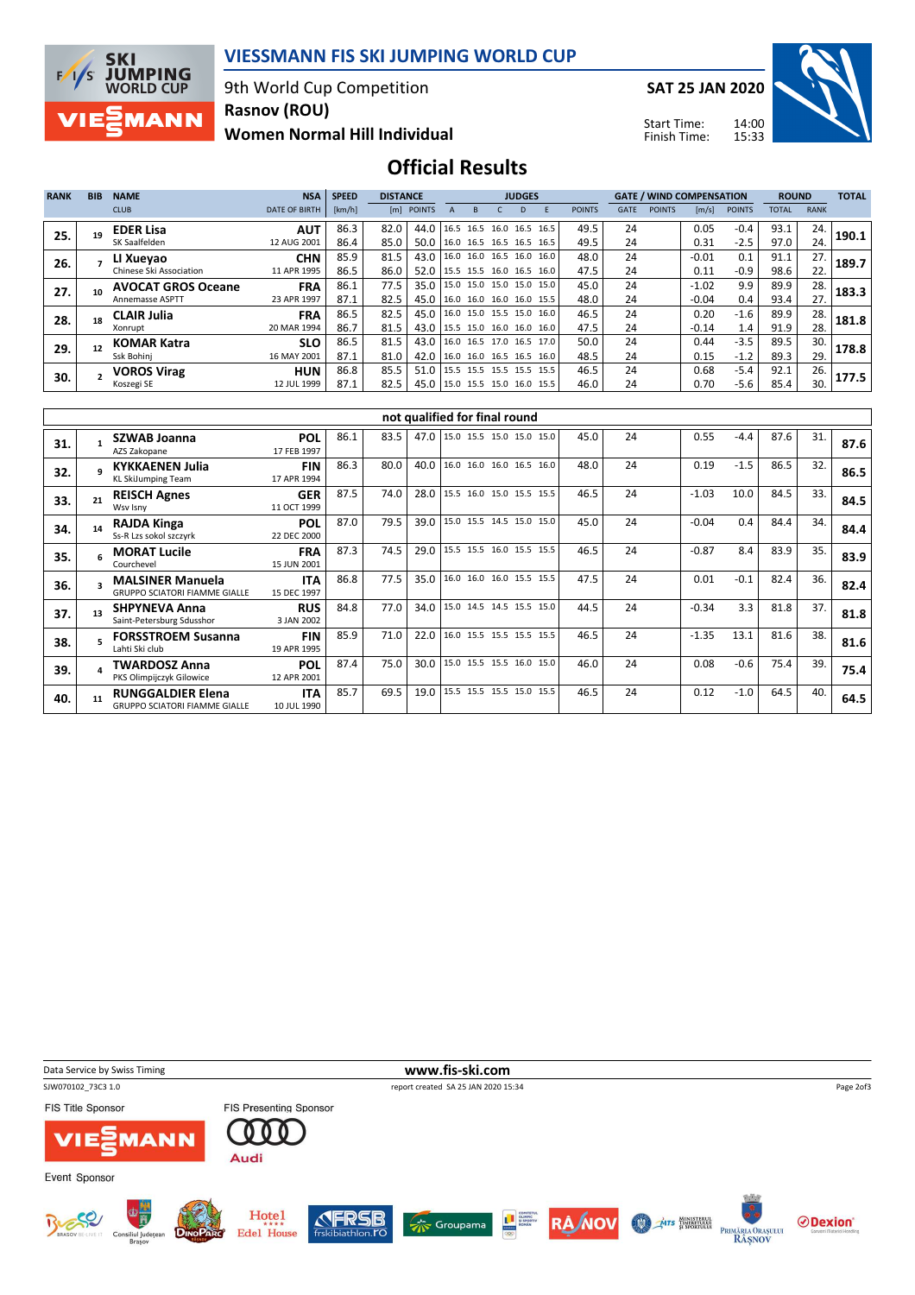

### VIESSMANN FIS SKI JUMPING WORLD CUP

9th World Cup Competition Rasnov (ROU)

Women Normal Hill Individual

SAT 25 JAN 2020

Start Time: Finish Time:



## Official Results

| <b>RANK</b> | <b>BIB</b> | <b>NAME</b>               | <b>NSA</b>           | <b>SPEED</b> | <b>DISTANCE</b> |                                 |   | <b>JUDGES</b> |  |   |  |               |             | <b>GATE / WIND COMPENSATION</b> |                       |               | <b>ROUND</b> |             | <b>TOTAL</b> |
|-------------|------------|---------------------------|----------------------|--------------|-----------------|---------------------------------|---|---------------|--|---|--|---------------|-------------|---------------------------------|-----------------------|---------------|--------------|-------------|--------------|
|             |            | <b>CLUB</b>               | <b>DATE OF BIRTH</b> | [km/h]       |                 | [m] POINTS                      | A | B             |  | D |  | <b>POINTS</b> | <b>GATE</b> | <b>POINTS</b>                   | $\lfloor m/s \rfloor$ | <b>POINTS</b> | TOTAL        | <b>RANK</b> |              |
| 25.         |            | <b>EDER Lisa</b>          | <b>AUT</b>           | 86.3         | 82.0            | 44.0   16.5 16.5 16.0 16.5 16.5 |   |               |  |   |  | 49.5          | 24          |                                 | 0.05                  | $-0.4$        | 93.1         | 24.         | 190.1        |
|             |            | SK Saalfelden             | 12 AUG 2001          | 86.4         | 85.0            | 50.0   16.0 16.5 16.5 16.5 16.5 |   |               |  |   |  | 49.5          | 24          |                                 | 0.31                  | $-2.5$        | 97.0         | 24.         |              |
| 26.         |            | LI Xueyao                 | <b>CHN</b>           | 85.9         | 81.5            | 43.0   16.0 16.0 16.5 16.0 16.0 |   |               |  |   |  | 48.0          | 24          |                                 | $-0.01$               | 0.1           | 91.1         | 27.         | 189.7        |
|             |            | Chinese Ski Association   | 11 APR 1995          | 86.5         | 86.0            | 52.0   15.5 15.5 16.0 16.5 16.0 |   |               |  |   |  | 47.5          | 24          |                                 | 0.11                  | $-0.9$        | 98.6         | 22.         |              |
| 27.         |            | <b>AVOCAT GROS Oceane</b> | <b>FRA</b>           | 86.1         | 77.5            | 35.0   15.0 15.0 15.0 15.0 15.0 |   |               |  |   |  | 45.0          | 24          |                                 | $-1.02$               | 9.9           | 89.9         | 28.         | 183.3        |
|             |            | Annemasse ASPTT           | 23 APR 1997          | 87.1         | 82.5            | 45.0 16.0 16.0 16.0 16.0 15.5   |   |               |  |   |  | 48.0          | 24          |                                 | $-0.04$               | 0.4           | 93.4         | 27.         |              |
| 28.         |            | <b>CLAIR Julia</b>        | <b>FRA</b>           | 86.5         | 82.5            | 45.0   16.0 15.0 15.5 15.0 16.0 |   |               |  |   |  | 46.5          | 24          |                                 | 0.20                  | $-1.6$        | 89.9         | 28.         | 181.8        |
|             |            | Xonrupt                   | 20 MAR 1994          | 86.7         | 81.5            | 43.0 15.5 15.0 16.0 16.0 16.0   |   |               |  |   |  | 47.5          | 24          |                                 | $-0.14$               | 1.4           | 91.9         | 28.         |              |
| 29.         |            | <b>KOMAR Katra</b>        | <b>SLO</b>           | 86.5         | 81.5            | 43.0   16.0 16.5 17.0 16.5 17.0 |   |               |  |   |  | 50.0          | 24          |                                 | 0.44                  | $-3.5$        | 89.5         | 30.         | 178.8        |
|             |            | Ssk Bohinj                | 16 MAY 2001          | 87.1         | 81.0            | 42.0   16.0 16.0 16.5 16.5 16.0 |   |               |  |   |  | 48.5          | 24          |                                 | 0.15                  | $-1.2$        | 89.3         | 29.         |              |
| 30.         |            | <b>VOROS Virag</b>        | <b>HUN</b>           | 86.8         | 85.5            | 51.0   15.5 15.5 15.5 15.5 15.5 |   |               |  |   |  | 46.5          | 24          |                                 | 0.68                  | $-5.4$        | 92.1         | 26.         | 177.5        |
|             |            | Koszegi SE                | 12 JUL 1999          | 87.1         | 82.5            | 45.0 15.0 15.5 15.0 16.0 15.5   |   |               |  |   |  | 46.0          | 24          |                                 | 0.70                  | -5.6          | 85.4         | 30.         |              |

|     |    |                                                                  |                           |      |      |      | not qualified for final round |                          |      |    |         |        |      |     |      |
|-----|----|------------------------------------------------------------------|---------------------------|------|------|------|-------------------------------|--------------------------|------|----|---------|--------|------|-----|------|
| 31. |    | <b>SZWAB Joanna</b><br>AZS Zakopane                              | <b>POL</b><br>17 FEB 1997 | 86.1 | 83.5 | 47.0 |                               | 15.0 15.5 15.0 15.0 15.0 | 45.0 | 24 | 0.55    | $-4.4$ | 87.6 | 31. | 87.6 |
| 32. |    | <b>KYKKAENEN Julia</b><br>KL SkiJumping Team                     | <b>FIN</b><br>17 APR 1994 | 86.3 | 80.0 | 40.0 |                               | 16.0 16.0 16.0 16.5 16.0 | 48.0 | 24 | 0.19    | $-1.5$ | 86.5 | 32. | 86.5 |
| 33. | 21 | <b>REISCH Agnes</b><br>Wsv Isny                                  | <b>GER</b><br>11 OCT 1999 | 87.5 | 74.0 | 28.0 |                               | 15.5 16.0 15.0 15.5 15.5 | 46.5 | 24 | $-1.03$ | 10.0   | 84.5 | 33. | 84.5 |
| 34. |    | <b>RAJDA Kinga</b><br>Ss-R Lzs sokol szczyrk                     | <b>POL</b><br>22 DEC 2000 | 87.0 | 79.5 | 39.0 |                               | 15.0 15.5 14.5 15.0 15.0 | 45.0 | 24 | $-0.04$ | 0.4    | 84.4 | 34. | 84.4 |
| 35. |    | <b>MORAT Lucile</b><br>Courchevel                                | <b>FRA</b><br>15 JUN 2001 | 87.3 | 74.5 | 29.0 |                               | 15.5 15.5 16.0 15.5 15.5 | 46.5 | 24 | $-0.87$ | 8.4    | 83.9 | 35. | 83.9 |
| 36. |    | <b>MALSINER Manuela</b><br><b>GRUPPO SCIATORI FIAMME GIALLE</b>  | <b>ITA</b><br>15 DEC 1997 | 86.8 | 77.5 | 35.0 |                               | 16.0 16.0 16.0 15.5 15.5 | 47.5 | 24 | 0.01    | $-0.1$ | 82.4 | 36. | 82.4 |
| 37. |    | <b>SHPYNEVA Anna</b><br>Saint-Petersburg Sdusshor                | <b>RUS</b><br>3 JAN 2002  | 84.8 | 77.0 | 34.0 |                               | 15.0 14.5 14.5 15.5 15.0 | 44.5 | 24 | $-0.34$ | 3.3    | 81.8 | 37. | 81.8 |
| 38. |    | <b>FORSSTROEM Susanna</b><br>Lahti Ski club                      | <b>FIN</b><br>19 APR 1995 | 85.9 | 71.0 | 22.0 |                               | 16.0 15.5 15.5 15.5 15.5 | 46.5 | 24 | $-1.35$ | 13.1   | 81.6 | 38. | 81.6 |
| 39. |    | TWARDOSZ Anna<br>PKS Olimpijczyk Gilowice                        | <b>POL</b><br>12 APR 2001 | 87.4 | 75.0 | 30.0 |                               | 15.0 15.5 15.5 16.0 15.0 | 46.0 | 24 | 0.08    | $-0.6$ | 75.4 | 39. | 75.4 |
| 40. | 11 | <b>RUNGGALDIER Elena</b><br><b>GRUPPO SCIATORI FIAMME GIALLE</b> | <b>ITA</b><br>10 JUL 1990 | 85.7 | 69.5 | 19.0 |                               | 15.5 15.5 15.5 15.0 15.5 | 46.5 | 24 | 0.12    | $-1.0$ | 64.5 | 40. | 64.5 |